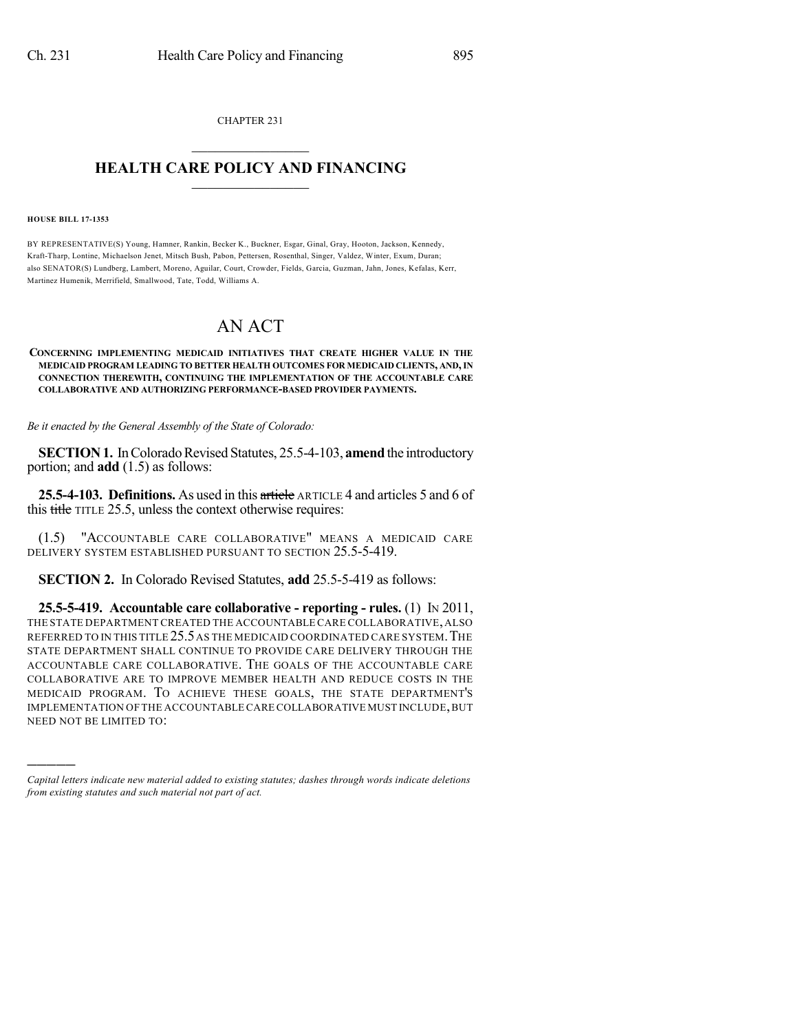CHAPTER 231  $\overline{\phantom{a}}$  . The set of the set of the set of the set of the set of the set of the set of the set of the set of the set of the set of the set of the set of the set of the set of the set of the set of the set of the set o

## **HEALTH CARE POLICY AND FINANCING**  $\_$   $\_$   $\_$   $\_$   $\_$   $\_$   $\_$   $\_$

## **HOUSE BILL 17-1353**

)))))

BY REPRESENTATIVE(S) Young, Hamner, Rankin, Becker K., Buckner, Esgar, Ginal, Gray, Hooton, Jackson, Kennedy, Kraft-Tharp, Lontine, Michaelson Jenet, Mitsch Bush, Pabon, Pettersen, Rosenthal, Singer, Valdez, Winter, Exum, Duran; also SENATOR(S) Lundberg, Lambert, Moreno, Aguilar, Court, Crowder, Fields, Garcia, Guzman, Jahn, Jones, Kefalas, Kerr, Martinez Humenik, Merrifield, Smallwood, Tate, Todd, Williams A.

## AN ACT

## **CONCERNING IMPLEMENTING MEDICAID INITIATIVES THAT CREATE HIGHER VALUE IN THE MEDICAID PROGRAM LEADING TO BETTER HEALTH OUTCOMES FOR MEDICAID CLIENTS, AND,IN CONNECTION THEREWITH, CONTINUING THE IMPLEMENTATION OF THE ACCOUNTABLE CARE COLLABORATIVE AND AUTHORIZING PERFORMANCE-BASED PROVIDER PAYMENTS.**

*Be it enacted by the General Assembly of the State of Colorado:*

**SECTION 1.** In Colorado Revised Statutes, 25.5-4-103, **amend** the introductory portion; and **add** (1.5) as follows:

**25.5-4-103. Definitions.** As used in this article ARTICLE 4 and articles 5 and 6 of this title TITLE 25.5, unless the context otherwise requires:

(1.5) "ACCOUNTABLE CARE COLLABORATIVE" MEANS A MEDICAID CARE DELIVERY SYSTEM ESTABLISHED PURSUANT TO SECTION 25.5-5-419.

**SECTION 2.** In Colorado Revised Statutes, **add** 25.5-5-419 as follows:

**25.5-5-419. Accountable care collaborative - reporting - rules.** (1) IN 2011, THE STATE DEPARTMENT CREATED THE ACCOUNTABLE CARE COLLABORATIVE,ALSO REFERRED TO IN THIS TITLE 25.5AS THE MEDICAID COORDINATED CARE SYSTEM.THE STATE DEPARTMENT SHALL CONTINUE TO PROVIDE CARE DELIVERY THROUGH THE ACCOUNTABLE CARE COLLABORATIVE. THE GOALS OF THE ACCOUNTABLE CARE COLLABORATIVE ARE TO IMPROVE MEMBER HEALTH AND REDUCE COSTS IN THE MEDICAID PROGRAM. TO ACHIEVE THESE GOALS, THE STATE DEPARTMENT'S IMPLEMENTATION OF THE ACCOUNTABLE CARECOLLABORATIVE MUST INCLUDE,BUT NEED NOT BE LIMITED TO:

*Capital letters indicate new material added to existing statutes; dashes through words indicate deletions from existing statutes and such material not part of act.*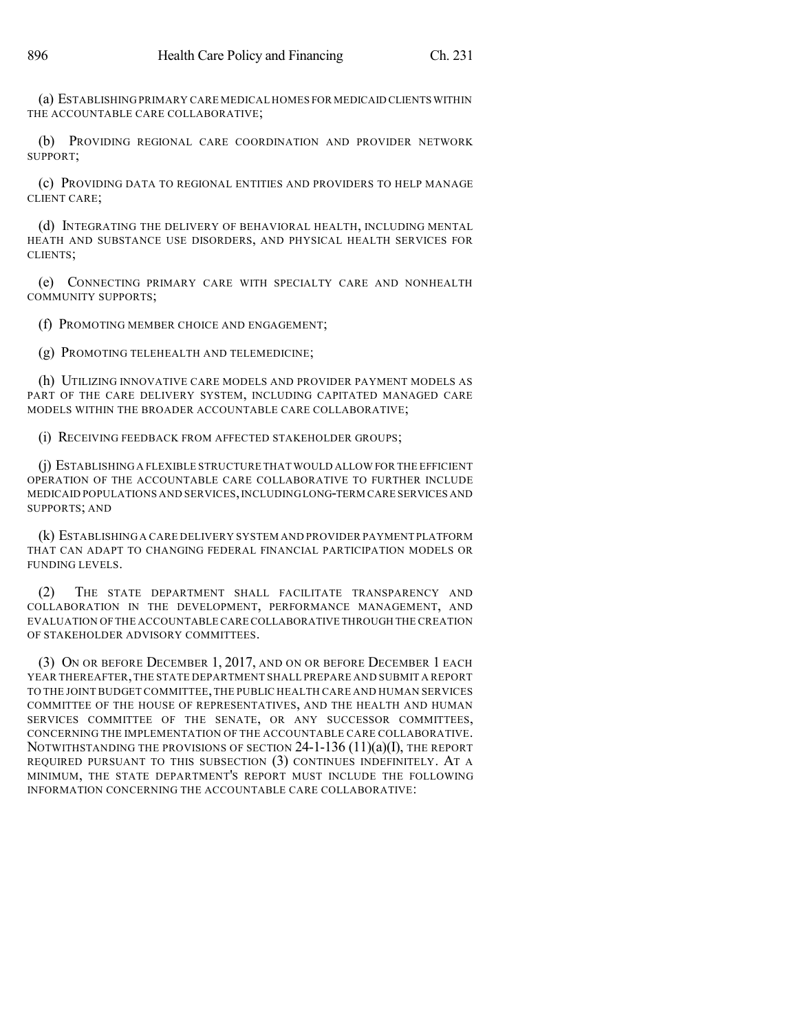(a) ESTABLISHING PRIMARY CARE MEDICAL HOMES FOR MEDICAID CLIENTS WITHIN THE ACCOUNTABLE CARE COLLABORATIVE;

(b) PROVIDING REGIONAL CARE COORDINATION AND PROVIDER NETWORK SUPPORT;

(c) PROVIDING DATA TO REGIONAL ENTITIES AND PROVIDERS TO HELP MANAGE CLIENT CARE;

(d) INTEGRATING THE DELIVERY OF BEHAVIORAL HEALTH, INCLUDING MENTAL HEATH AND SUBSTANCE USE DISORDERS, AND PHYSICAL HEALTH SERVICES FOR CLIENTS;

(e) CONNECTING PRIMARY CARE WITH SPECIALTY CARE AND NONHEALTH COMMUNITY SUPPORTS;

(f) PROMOTING MEMBER CHOICE AND ENGAGEMENT;

(g) PROMOTING TELEHEALTH AND TELEMEDICINE;

(h) UTILIZING INNOVATIVE CARE MODELS AND PROVIDER PAYMENT MODELS AS PART OF THE CARE DELIVERY SYSTEM, INCLUDING CAPITATED MANAGED CARE MODELS WITHIN THE BROADER ACCOUNTABLE CARE COLLABORATIVE;

(i) RECEIVING FEEDBACK FROM AFFECTED STAKEHOLDER GROUPS;

(j) ESTABLISHING A FLEXIBLE STRUCTURE THAT WOULD ALLOW FOR THE EFFICIENT OPERATION OF THE ACCOUNTABLE CARE COLLABORATIVE TO FURTHER INCLUDE MEDICAID POPULATIONS AND SERVICES,INCLUDINGLONG-TERM CARE SERVICES AND SUPPORTS; AND

(k) ESTABLISHING A CARE DELIVERY SYSTEM AND PROVIDER PAYMENT PLATFORM THAT CAN ADAPT TO CHANGING FEDERAL FINANCIAL PARTICIPATION MODELS OR FUNDING LEVELS.

(2) THE STATE DEPARTMENT SHALL FACILITATE TRANSPARENCY AND COLLABORATION IN THE DEVELOPMENT, PERFORMANCE MANAGEMENT, AND EVALUATION OF THE ACCOUNTABLE CARE COLLABORATIVE THROUGH THE CREATION OF STAKEHOLDER ADVISORY COMMITTEES.

(3) ON OR BEFORE DECEMBER 1, 2017, AND ON OR BEFORE DECEMBER 1 EACH YEAR THEREAFTER,THE STATE DEPARTMENT SHALL PREPARE AND SUBMIT A REPORT TO THE JOINT BUDGET COMMITTEE,THE PUBLIC HEALTH CARE AND HUMAN SERVICES COMMITTEE OF THE HOUSE OF REPRESENTATIVES, AND THE HEALTH AND HUMAN SERVICES COMMITTEE OF THE SENATE, OR ANY SUCCESSOR COMMITTEES, CONCERNING THE IMPLEMENTATION OF THE ACCOUNTABLE CARE COLLABORATIVE. NOTWITHSTANDING THE PROVISIONS OF SECTION  $24$ -1-136 (11)(a)(I), the report REQUIRED PURSUANT TO THIS SUBSECTION (3) CONTINUES INDEFINITELY. AT A MINIMUM, THE STATE DEPARTMENT'S REPORT MUST INCLUDE THE FOLLOWING INFORMATION CONCERNING THE ACCOUNTABLE CARE COLLABORATIVE: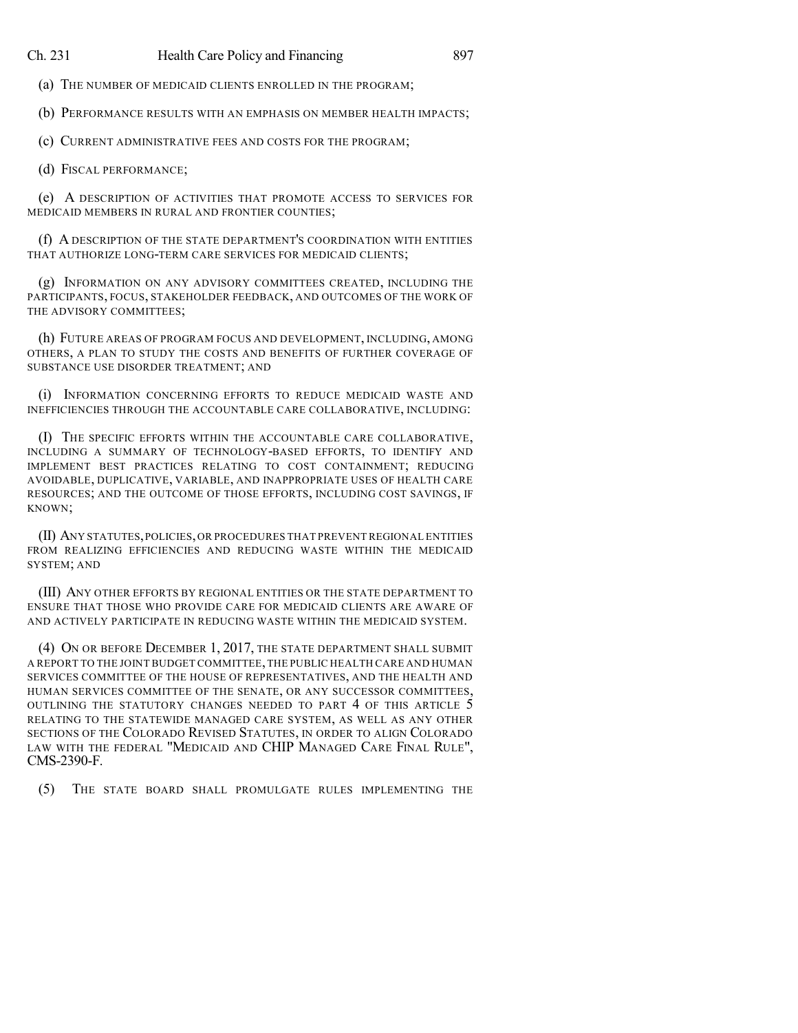(a) THE NUMBER OF MEDICAID CLIENTS ENROLLED IN THE PROGRAM;

(b) PERFORMANCE RESULTS WITH AN EMPHASIS ON MEMBER HEALTH IMPACTS;

(c) CURRENT ADMINISTRATIVE FEES AND COSTS FOR THE PROGRAM;

(d) FISCAL PERFORMANCE;

(e) A DESCRIPTION OF ACTIVITIES THAT PROMOTE ACCESS TO SERVICES FOR MEDICAID MEMBERS IN RURAL AND FRONTIER COUNTIES;

(f) A DESCRIPTION OF THE STATE DEPARTMENT'S COORDINATION WITH ENTITIES THAT AUTHORIZE LONG-TERM CARE SERVICES FOR MEDICAID CLIENTS;

(g) INFORMATION ON ANY ADVISORY COMMITTEES CREATED, INCLUDING THE PARTICIPANTS, FOCUS, STAKEHOLDER FEEDBACK, AND OUTCOMES OF THE WORK OF THE ADVISORY COMMITTEES;

(h) FUTURE AREAS OF PROGRAM FOCUS AND DEVELOPMENT, INCLUDING, AMONG OTHERS, A PLAN TO STUDY THE COSTS AND BENEFITS OF FURTHER COVERAGE OF SUBSTANCE USE DISORDER TREATMENT; AND

(i) INFORMATION CONCERNING EFFORTS TO REDUCE MEDICAID WASTE AND INEFFICIENCIES THROUGH THE ACCOUNTABLE CARE COLLABORATIVE, INCLUDING:

(I) THE SPECIFIC EFFORTS WITHIN THE ACCOUNTABLE CARE COLLABORATIVE, INCLUDING A SUMMARY OF TECHNOLOGY-BASED EFFORTS, TO IDENTIFY AND IMPLEMENT BEST PRACTICES RELATING TO COST CONTAINMENT; REDUCING AVOIDABLE, DUPLICATIVE, VARIABLE, AND INAPPROPRIATE USES OF HEALTH CARE RESOURCES; AND THE OUTCOME OF THOSE EFFORTS, INCLUDING COST SAVINGS, IF KNOWN;

(II) ANY STATUTES,POLICIES,OR PROCEDURES THAT PREVENT REGIONAL ENTITIES FROM REALIZING EFFICIENCIES AND REDUCING WASTE WITHIN THE MEDICAID SYSTEM; AND

(III) ANY OTHER EFFORTS BY REGIONAL ENTITIES OR THE STATE DEPARTMENT TO ENSURE THAT THOSE WHO PROVIDE CARE FOR MEDICAID CLIENTS ARE AWARE OF AND ACTIVELY PARTICIPATE IN REDUCING WASTE WITHIN THE MEDICAID SYSTEM.

(4) ON OR BEFORE DECEMBER 1, 2017, THE STATE DEPARTMENT SHALL SUBMIT A REPORT TO THE JOINT BUDGET COMMITTEE,THE PUBLIC HEALTH CARE AND HUMAN SERVICES COMMITTEE OF THE HOUSE OF REPRESENTATIVES, AND THE HEALTH AND HUMAN SERVICES COMMITTEE OF THE SENATE, OR ANY SUCCESSOR COMMITTEES, OUTLINING THE STATUTORY CHANGES NEEDED TO PART 4 OF THIS ARTICLE 5 RELATING TO THE STATEWIDE MANAGED CARE SYSTEM, AS WELL AS ANY OTHER SECTIONS OF THE COLORADO REVISED STATUTES, IN ORDER TO ALIGN COLORADO LAW WITH THE FEDERAL "MEDICAID AND CHIP MANAGED CARE FINAL RULE", CMS-2390-F.

(5) THE STATE BOARD SHALL PROMULGATE RULES IMPLEMENTING THE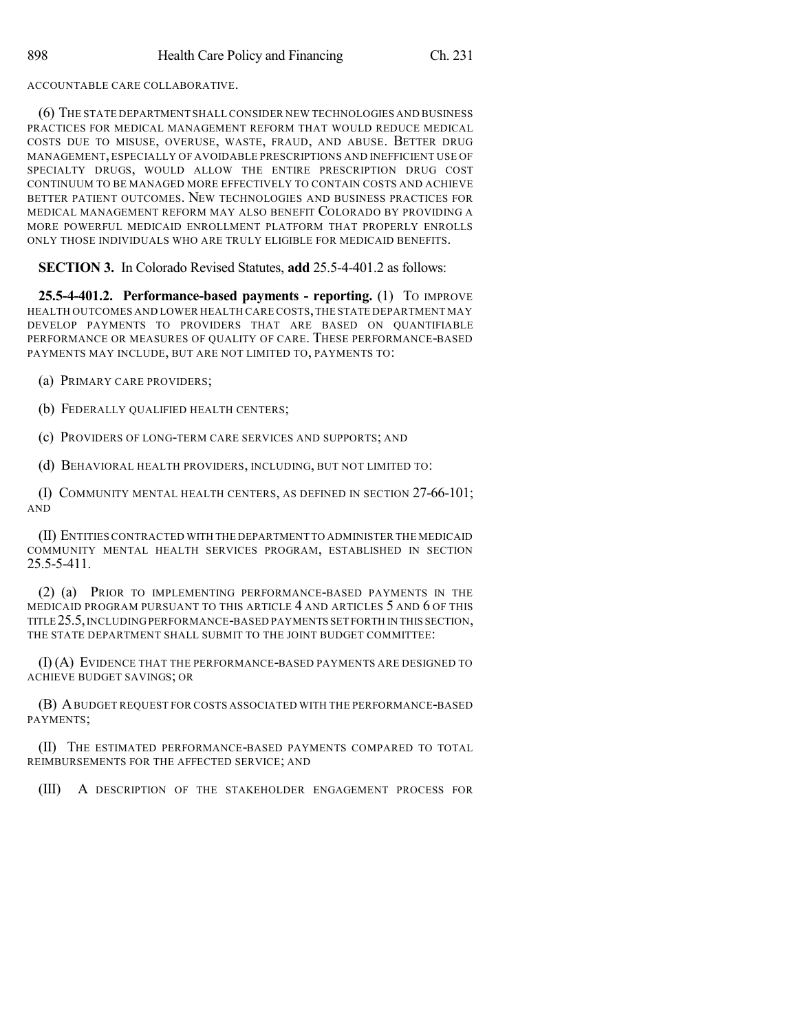ACCOUNTABLE CARE COLLABORATIVE.

(6) THE STATE DEPARTMENT SHALL CONSIDER NEW TECHNOLOGIES AND BUSINESS PRACTICES FOR MEDICAL MANAGEMENT REFORM THAT WOULD REDUCE MEDICAL COSTS DUE TO MISUSE, OVERUSE, WASTE, FRAUD, AND ABUSE. BETTER DRUG MANAGEMENT, ESPECIALLY OF AVOIDABLE PRESCRIPTIONS AND INEFFICIENT USE OF SPECIALTY DRUGS, WOULD ALLOW THE ENTIRE PRESCRIPTION DRUG COST CONTINUUM TO BE MANAGED MORE EFFECTIVELY TO CONTAIN COSTS AND ACHIEVE BETTER PATIENT OUTCOMES. NEW TECHNOLOGIES AND BUSINESS PRACTICES FOR MEDICAL MANAGEMENT REFORM MAY ALSO BENEFIT COLORADO BY PROVIDING A MORE POWERFUL MEDICAID ENROLLMENT PLATFORM THAT PROPERLY ENROLLS ONLY THOSE INDIVIDUALS WHO ARE TRULY ELIGIBLE FOR MEDICAID BENEFITS.

**SECTION 3.** In Colorado Revised Statutes, **add** 25.5-4-401.2 as follows:

**25.5-4-401.2. Performance-based payments - reporting.** (1) TO IMPROVE HEALTH OUTCOMES AND LOWER HEALTH CARE COSTS,THE STATE DEPARTMENT MAY DEVELOP PAYMENTS TO PROVIDERS THAT ARE BASED ON QUANTIFIABLE PERFORMANCE OR MEASURES OF QUALITY OF CARE. THESE PERFORMANCE-BASED PAYMENTS MAY INCLUDE, BUT ARE NOT LIMITED TO, PAYMENTS TO:

(a) PRIMARY CARE PROVIDERS;

(b) FEDERALLY QUALIFIED HEALTH CENTERS;

(c) PROVIDERS OF LONG-TERM CARE SERVICES AND SUPPORTS; AND

(d) BEHAVIORAL HEALTH PROVIDERS, INCLUDING, BUT NOT LIMITED TO:

(I) COMMUNITY MENTAL HEALTH CENTERS, AS DEFINED IN SECTION 27-66-101; AND

(II) ENTITIES CONTRACTED WITH THE DEPARTMENT TO ADMINISTER THE MEDICAID COMMUNITY MENTAL HEALTH SERVICES PROGRAM, ESTABLISHED IN SECTION 25.5-5-411.

(2) (a) PRIOR TO IMPLEMENTING PERFORMANCE-BASED PAYMENTS IN THE MEDICAID PROGRAM PURSUANT TO THIS ARTICLE 4 AND ARTICLES 5 AND 6 OF THIS TITLE 25.5,INCLUDINGPERFORMANCE-BASED PAYMENTS SET FORTH IN THIS SECTION, THE STATE DEPARTMENT SHALL SUBMIT TO THE JOINT BUDGET COMMITTEE:

(I) (A) EVIDENCE THAT THE PERFORMANCE-BASED PAYMENTS ARE DESIGNED TO ACHIEVE BUDGET SAVINGS; OR

(B) ABUDGET REQUEST FOR COSTS ASSOCIATED WITH THE PERFORMANCE-BASED PAYMENTS;

(II) THE ESTIMATED PERFORMANCE-BASED PAYMENTS COMPARED TO TOTAL REIMBURSEMENTS FOR THE AFFECTED SERVICE; AND

(III) A DESCRIPTION OF THE STAKEHOLDER ENGAGEMENT PROCESS FOR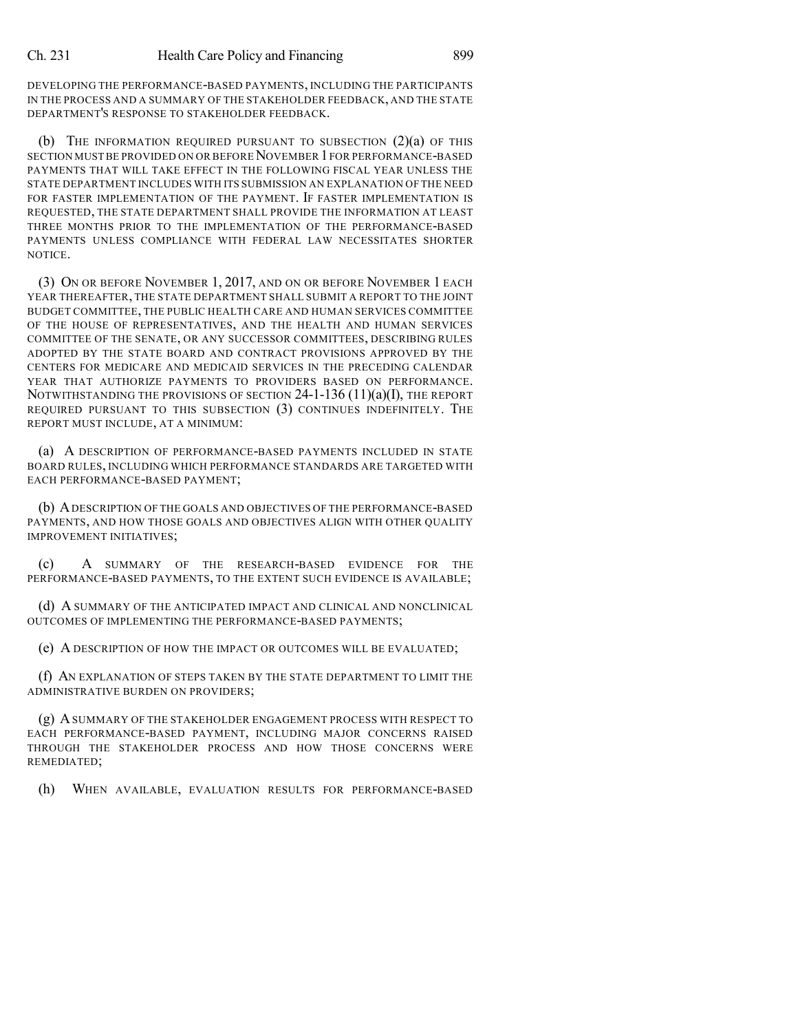DEVELOPING THE PERFORMANCE-BASED PAYMENTS, INCLUDING THE PARTICIPANTS IN THE PROCESS AND A SUMMARY OF THE STAKEHOLDER FEEDBACK, AND THE STATE DEPARTMENT'S RESPONSE TO STAKEHOLDER FEEDBACK.

(b) THE INFORMATION REQUIRED PURSUANT TO SUBSECTION (2)(a) OF THIS SECTION MUST BE PROVIDED ON OR BEFORE NOVEMBER 1 FOR PERFORMANCE-BASED PAYMENTS THAT WILL TAKE EFFECT IN THE FOLLOWING FISCAL YEAR UNLESS THE STATE DEPARTMENT INCLUDES WITH ITS SUBMISSION AN EXPLANATION OF THE NEED FOR FASTER IMPLEMENTATION OF THE PAYMENT. IF FASTER IMPLEMENTATION IS REQUESTED, THE STATE DEPARTMENT SHALL PROVIDE THE INFORMATION AT LEAST THREE MONTHS PRIOR TO THE IMPLEMENTATION OF THE PERFORMANCE-BASED PAYMENTS UNLESS COMPLIANCE WITH FEDERAL LAW NECESSITATES SHORTER NOTICE.

(3) ON OR BEFORE NOVEMBER 1, 2017, AND ON OR BEFORE NOVEMBER 1 EACH YEAR THEREAFTER, THE STATE DEPARTMENT SHALL SUBMIT A REPORT TO THE JOINT BUDGET COMMITTEE, THE PUBLIC HEALTH CARE AND HUMAN SERVICES COMMITTEE OF THE HOUSE OF REPRESENTATIVES, AND THE HEALTH AND HUMAN SERVICES COMMITTEE OF THE SENATE, OR ANY SUCCESSOR COMMITTEES, DESCRIBING RULES ADOPTED BY THE STATE BOARD AND CONTRACT PROVISIONS APPROVED BY THE CENTERS FOR MEDICARE AND MEDICAID SERVICES IN THE PRECEDING CALENDAR YEAR THAT AUTHORIZE PAYMENTS TO PROVIDERS BASED ON PERFORMANCE. NOTWITHSTANDING THE PROVISIONS OF SECTION  $24$ -1-136 (11)(a)(I), THE REPORT REQUIRED PURSUANT TO THIS SUBSECTION (3) CONTINUES INDEFINITELY. THE REPORT MUST INCLUDE, AT A MINIMUM:

(a) A DESCRIPTION OF PERFORMANCE-BASED PAYMENTS INCLUDED IN STATE BOARD RULES, INCLUDING WHICH PERFORMANCE STANDARDS ARE TARGETED WITH EACH PERFORMANCE-BASED PAYMENT;

(b) ADESCRIPTION OF THE GOALS AND OBJECTIVES OF THE PERFORMANCE-BASED PAYMENTS, AND HOW THOSE GOALS AND OBJECTIVES ALIGN WITH OTHER QUALITY IMPROVEMENT INITIATIVES;

(c) A SUMMARY OF THE RESEARCH-BASED EVIDENCE FOR THE PERFORMANCE-BASED PAYMENTS, TO THE EXTENT SUCH EVIDENCE IS AVAILABLE;

(d) A SUMMARY OF THE ANTICIPATED IMPACT AND CLINICAL AND NONCLINICAL OUTCOMES OF IMPLEMENTING THE PERFORMANCE-BASED PAYMENTS;

(e) A DESCRIPTION OF HOW THE IMPACT OR OUTCOMES WILL BE EVALUATED;

(f) AN EXPLANATION OF STEPS TAKEN BY THE STATE DEPARTMENT TO LIMIT THE ADMINISTRATIVE BURDEN ON PROVIDERS;

(g) ASUMMARY OF THE STAKEHOLDER ENGAGEMENT PROCESS WITH RESPECT TO EACH PERFORMANCE-BASED PAYMENT, INCLUDING MAJOR CONCERNS RAISED THROUGH THE STAKEHOLDER PROCESS AND HOW THOSE CONCERNS WERE REMEDIATED;

(h) WHEN AVAILABLE, EVALUATION RESULTS FOR PERFORMANCE-BASED